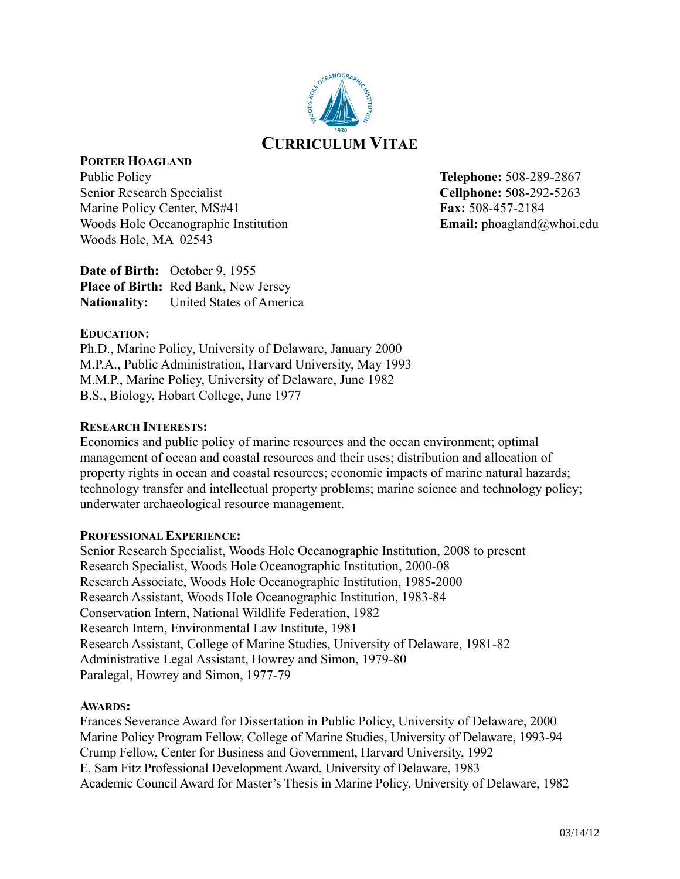

# **PORTER HOAGLAND**

Public Policy **Telephone:** 508-289-2867 Senior Research Specialist **Cellphone:** 508-292-5263 Marine Policy Center, MS#41 **Fax:** 508-457-2184 Woods Hole Oceanographic Institution **Email:** phoagland@whoi.edu Woods Hole, MA 02543

**Date of Birth:** October 9, 1955 **Place of Birth:** Red Bank, New Jersey **Nationality:** United States of America

# **EDUCATION:**

Ph.D., Marine Policy, University of Delaware, January 2000 M.P.A., Public Administration, Harvard University, May 1993 M.M.P., Marine Policy, University of Delaware, June 1982 B.S., Biology, Hobart College, June 1977

#### **RESEARCH INTERESTS:**

Economics and public policy of marine resources and the ocean environment; optimal management of ocean and coastal resources and their uses; distribution and allocation of property rights in ocean and coastal resources; economic impacts of marine natural hazards; technology transfer and intellectual property problems; marine science and technology policy; underwater archaeological resource management.

#### **PROFESSIONAL EXPERIENCE:**

Senior Research Specialist, Woods Hole Oceanographic Institution, 2008 to present Research Specialist, Woods Hole Oceanographic Institution, 2000-08 Research Associate, Woods Hole Oceanographic Institution, 1985-2000 Research Assistant, Woods Hole Oceanographic Institution, 1983-84 Conservation Intern, National Wildlife Federation, 1982 Research Intern, Environmental Law Institute, 1981 Research Assistant, College of Marine Studies, University of Delaware, 1981-82 Administrative Legal Assistant, Howrey and Simon, 1979-80 Paralegal, Howrey and Simon, 1977-79

# **AWARDS:**

Frances Severance Award for Dissertation in Public Policy, University of Delaware, 2000 Marine Policy Program Fellow, College of Marine Studies, University of Delaware, 1993-94 Crump Fellow, Center for Business and Government, Harvard University, 1992 E. Sam Fitz Professional Development Award, University of Delaware, 1983 Academic Council Award for Master's Thesis in Marine Policy, University of Delaware, 1982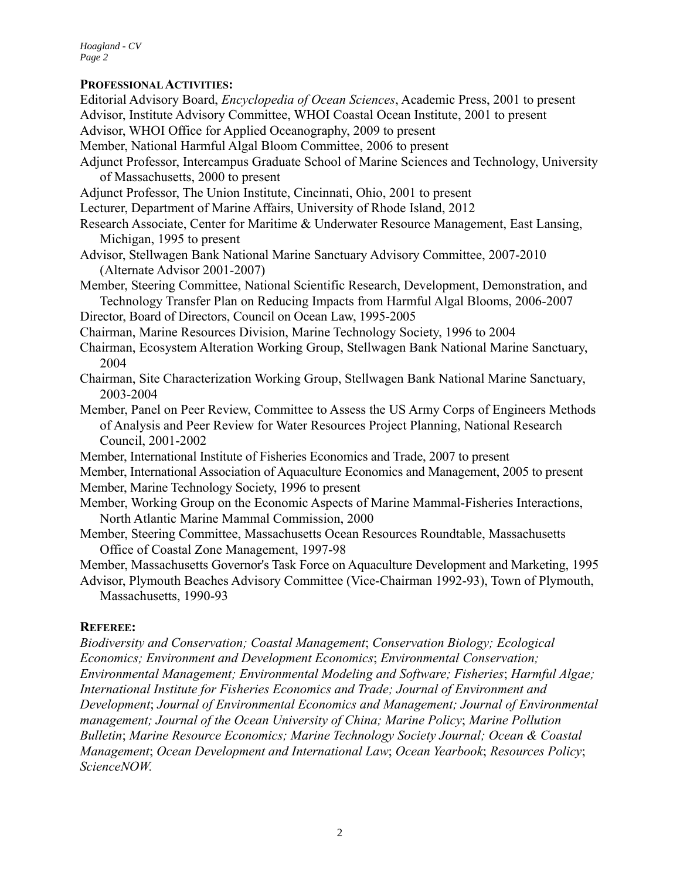*Hoagland - CV Page 2*

# **PROFESSIONAL ACTIVITIES:**

Editorial Advisory Board, *Encyclopedia of Ocean Sciences*, Academic Press, 2001 to present Advisor, Institute Advisory Committee, WHOI Coastal Ocean Institute, 2001 to present Advisor, WHOI Office for Applied Oceanography, 2009 to present Member, National Harmful Algal Bloom Committee, 2006 to present Adjunct Professor, Intercampus Graduate School of Marine Sciences and Technology, University of Massachusetts, 2000 to present Adjunct Professor, The Union Institute, Cincinnati, Ohio, 2001 to present Lecturer, Department of Marine Affairs, University of Rhode Island, 2012 Research Associate, Center for Maritime & Underwater Resource Management, East Lansing, Michigan, 1995 to present Advisor, Stellwagen Bank National Marine Sanctuary Advisory Committee, 2007-2010 (Alternate Advisor 2001-2007) Member, Steering Committee, National Scientific Research, Development, Demonstration, and Technology Transfer Plan on Reducing Impacts from Harmful Algal Blooms, 2006-2007 Director, Board of Directors, Council on Ocean Law, 1995-2005 Chairman, Marine Resources Division, Marine Technology Society, 1996 to 2004 Chairman, Ecosystem Alteration Working Group, Stellwagen Bank National Marine Sanctuary, 2004 Chairman, Site Characterization Working Group, Stellwagen Bank National Marine Sanctuary, 2003-2004 Member, Panel on Peer Review, Committee to Assess the US Army Corps of Engineers Methods of Analysis and Peer Review for Water Resources Project Planning, National Research Council, 2001-2002 Member, International Institute of Fisheries Economics and Trade, 2007 to present Member, International Association of Aquaculture Economics and Management, 2005 to present Member, Marine Technology Society, 1996 to present Member, Working Group on the Economic Aspects of Marine Mammal-Fisheries Interactions, North Atlantic Marine Mammal Commission, 2000 Member, Steering Committee, Massachusetts Ocean Resources Roundtable, Massachusetts Office of Coastal Zone Management, 1997-98 Member, Massachusetts Governor's Task Force on Aquaculture Development and Marketing, 1995 Advisor, Plymouth Beaches Advisory Committee (Vice-Chairman 1992-93), Town of Plymouth, Massachusetts, 1990-93 **REFEREE:**  *Biodiversity and Conservation; Coastal Management*; *Conservation Biology; Ecological Economics; Environment and Development Economics*; *Environmental Conservation; Environmental Management; Environmental Modeling and Software; Fisheries*; *Harmful Algae; International Institute for Fisheries Economics and Trade; Journal of Environment and Development*; *Journal of Environmental Economics and Management; Journal of Environmental management; Journal of the Ocean University of China; Marine Policy*; *Marine Pollution Bulletin*; *Marine Resource Economics; Marine Technology Society Journal; Ocean & Coastal* 

*Management*; *Ocean Development and International Law*; *Ocean Yearbook*; *Resources Policy*; *ScienceNOW.*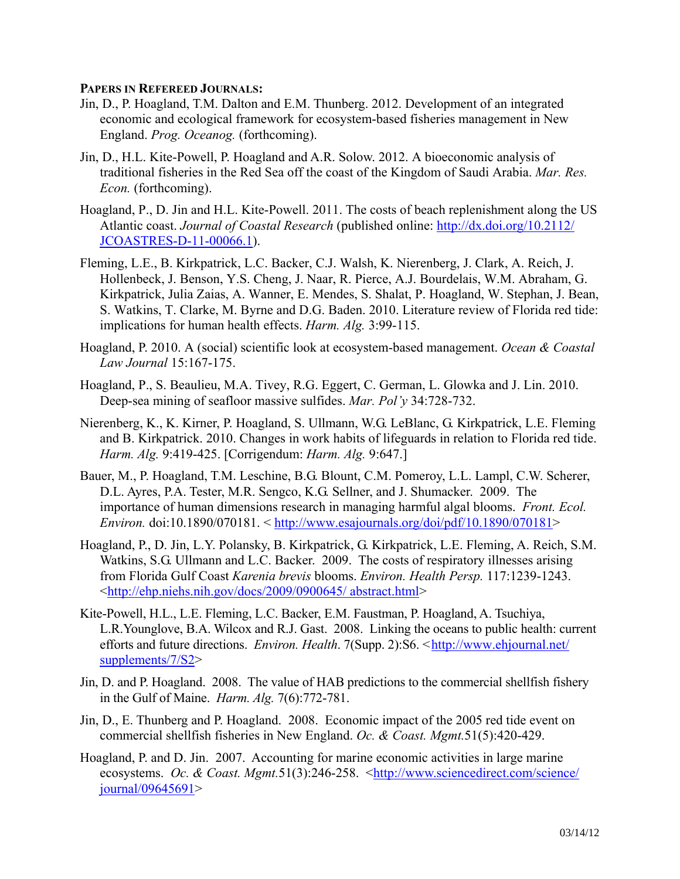### **PAPERS IN REFEREED JOURNALS:**

- Jin, D., P. Hoagland, T.M. Dalton and E.M. Thunberg. 2012. Development of an integrated economic and ecological framework for ecosystem-based fisheries management in New England. *Prog. Oceanog.* (forthcoming).
- Jin, D., H.L. Kite-Powell, P. Hoagland and A.R. Solow. 2012. A bioeconomic analysis of traditional fisheries in the Red Sea off the coast of the Kingdom of Saudi Arabia. *Mar. Res. Econ.* (forthcoming).
- Hoagland, P., D. Jin and H.L. Kite-Powell. 2011. The costs of beach replenishment along the US Atlantic coast. *Journal of Coastal Research* (published online: http://dx.doi.org/10.2112/ JCOASTRES-D-11-00066.1).
- Fleming, L.E., B. Kirkpatrick, L.C. Backer, C.J. Walsh, K. Nierenberg, J. Clark, A. Reich, J. Hollenbeck, J. Benson, Y.S. Cheng, J. Naar, R. Pierce, A.J. Bourdelais, W.M. Abraham, G. Kirkpatrick, Julia Zaias, A. Wanner, E. Mendes, S. Shalat, P. Hoagland, W. Stephan, J. Bean, S. Watkins, T. Clarke, M. Byrne and D.G. Baden. 2010. Literature review of Florida red tide: implications for human health effects. *Harm. Alg.* 3:99-115.
- Hoagland, P. 2010. A (social) scientific look at ecosystem-based management. *Ocean & Coastal Law Journal* 15:167-175.
- Hoagland, P., S. Beaulieu, M.A. Tivey, R.G. Eggert, C. German, L. Glowka and J. Lin. 2010. Deep-sea mining of seafloor massive sulfides. *Mar. Pol'y* 34:728-732.
- Nierenberg, K., K. Kirner, P. Hoagland, S. Ullmann, W.G. LeBlanc, G. Kirkpatrick, L.E. Fleming and B. Kirkpatrick. 2010. Changes in work habits of lifeguards in relation to Florida red tide. *Harm. Alg.* 9:419-425. [Corrigendum: *Harm. Alg.* 9:647.]
- Bauer, M., P. Hoagland, T.M. Leschine, B.G. Blount, C.M. Pomeroy, L.L. Lampl, C.W. Scherer, D.L. Ayres, P.A. Tester, M.R. Sengco, K.G. Sellner, and J. Shumacker. 2009. The importance of human dimensions research in managing harmful algal blooms. *Front. Ecol. Environ.* doi:10.1890/070181. < http://www.esajournals.org/doi/pdf/10.1890/070181>
- Hoagland, P., D. Jin, L.Y. Polansky, B. Kirkpatrick, G. Kirkpatrick, L.E. Fleming, A. Reich, S.M. Watkins, S.G. Ullmann and L.C. Backer. 2009. The costs of respiratory illnesses arising from Florida Gulf Coast *Karenia brevis* blooms. *Environ. Health Persp.* 117:1239-1243. <http://ehp.niehs.nih.gov/docs/2009/0900645/ abstract.html>
- Kite-Powell, H.L., L.E. Fleming, L.C. Backer, E.M. Faustman, P. Hoagland, A. Tsuchiya, L.R.Younglove, B.A. Wilcox and R.J. Gast. 2008. Linking the oceans to public health: current efforts and future directions. *Environ. Health.* 7(Supp. 2):S6. <http://www.ehjournal.net/ supplements/7/S2>
- Jin, D. and P. Hoagland. 2008. The value of HAB predictions to the commercial shellfish fishery in the Gulf of Maine. *Harm. Alg.* 7(6):772-781.
- Jin, D., E. Thunberg and P. Hoagland. 2008. Economic impact of the 2005 red tide event on commercial shellfish fisheries in New England. *Oc. & Coast. Mgmt.*51(5):420-429.
- Hoagland, P. and D. Jin. 2007. Accounting for marine economic activities in large marine ecosystems. *Oc. & Coast. Mgmt.*51(3):246-258. <http://www.sciencedirect.com/science/ journal/09645691>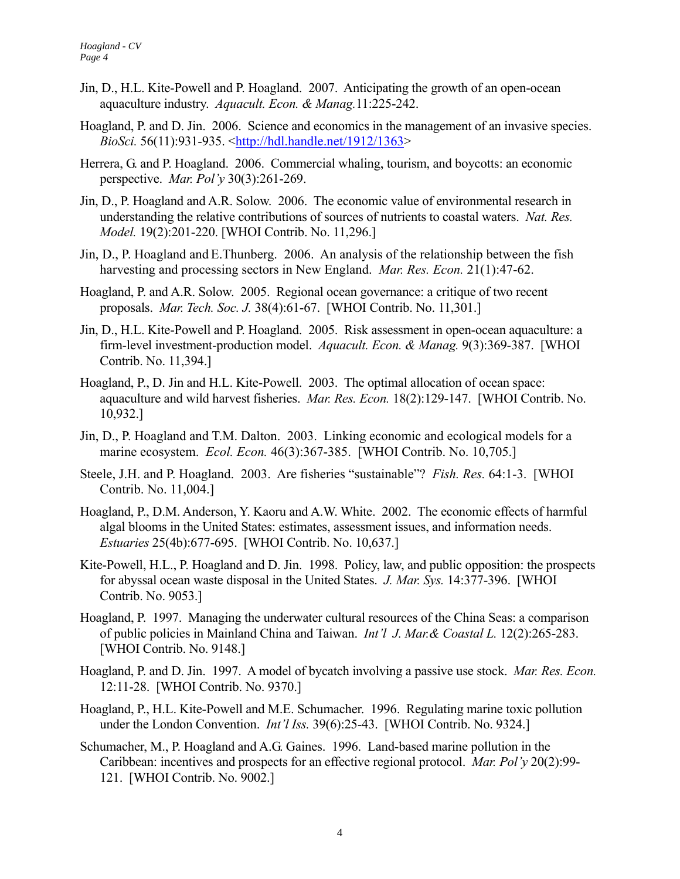- Jin, D., H.L. Kite-Powell and P. Hoagland. 2007. Anticipating the growth of an open-ocean aquaculture industry. *Aquacult. Econ. & Manag.*11:225-242.
- Hoagland, P. and D. Jin. 2006. Science and economics in the management of an invasive species. *BioSci.* 56(11):931-935. <http://hdl.handle.net/1912/1363>
- Herrera, G. and P. Hoagland. 2006. Commercial whaling, tourism, and boycotts: an economic perspective. *Mar. Pol'y* 30(3):261-269.
- Jin, D., P. Hoagland and A.R. Solow. 2006. The economic value of environmental research in understanding the relative contributions of sources of nutrients to coastal waters. *Nat. Res. Model.* 19(2):201-220. [WHOI Contrib. No. 11,296.]
- Jin, D., P. Hoagland and E.Thunberg. 2006. An analysis of the relationship between the fish harvesting and processing sectors in New England. *Mar. Res. Econ.* 21(1):47-62.
- Hoagland, P. and A.R. Solow. 2005. Regional ocean governance: a critique of two recent proposals. *Mar. Tech. Soc. J.* 38(4):61-67. [WHOI Contrib. No. 11,301.]
- Jin, D., H.L. Kite-Powell and P. Hoagland. 2005. Risk assessment in open-ocean aquaculture: a firm-level investment-production model. *Aquacult. Econ. & Manag.* 9(3):369-387. [WHOI Contrib. No. 11,394.]
- Hoagland, P., D. Jin and H.L. Kite-Powell. 2003. The optimal allocation of ocean space: aquaculture and wild harvest fisheries. *Mar. Res. Econ.* 18(2):129-147. [WHOI Contrib. No. 10,932.]
- Jin, D., P. Hoagland and T.M. Dalton. 2003. Linking economic and ecological models for a marine ecosystem. *Ecol. Econ.* 46(3):367-385. [WHOI Contrib. No. 10,705.]
- Steele, J.H. and P. Hoagland. 2003. Are fisheries "sustainable"? *Fish. Res.* 64:1-3. [WHOI Contrib. No. 11,004.]
- Hoagland, P., D.M. Anderson, Y. Kaoru and A.W. White. 2002. The economic effects of harmful algal blooms in the United States: estimates, assessment issues, and information needs. *Estuaries* 25(4b):677-695. [WHOI Contrib. No. 10,637.]
- Kite-Powell, H.L., P. Hoagland and D. Jin. 1998. Policy, law, and public opposition: the prospects for abyssal ocean waste disposal in the United States. *J. Mar. Sys.* 14:377-396. [WHOI Contrib. No. 9053.]
- Hoagland, P. 1997. Managing the underwater cultural resources of the China Seas: a comparison of public policies in Mainland China and Taiwan. *Int'l J. Mar.& Coastal L.* 12(2):265-283. [WHOI Contrib. No. 9148.]
- Hoagland, P. and D. Jin. 1997. A model of bycatch involving a passive use stock. *Mar. Res. Econ.* 12:11-28. [WHOI Contrib. No. 9370.]
- Hoagland, P., H.L. Kite-Powell and M.E. Schumacher. 1996. Regulating marine toxic pollution under the London Convention. *Int'l Iss.* 39(6):25-43. [WHOI Contrib. No. 9324.]
- Schumacher, M., P. Hoagland and A.G. Gaines. 1996. Land-based marine pollution in the Caribbean: incentives and prospects for an effective regional protocol. *Mar. Pol'y* 20(2):99- 121. [WHOI Contrib. No. 9002.]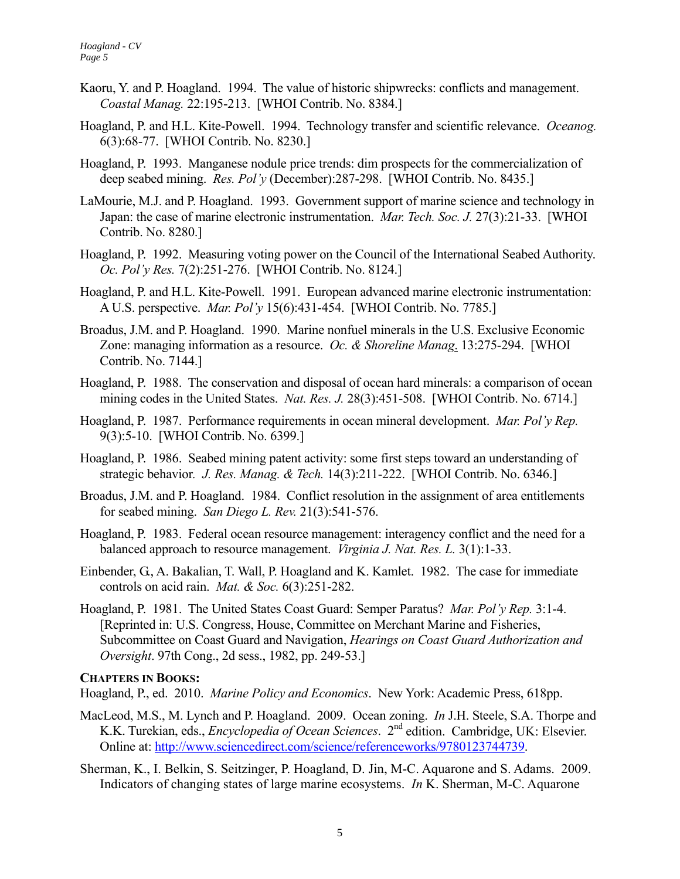- Kaoru, Y. and P. Hoagland. 1994. The value of historic shipwrecks: conflicts and management. *Coastal Manag.* 22:195-213. [WHOI Contrib. No. 8384.]
- Hoagland, P. and H.L. Kite-Powell. 1994. Technology transfer and scientific relevance. *Oceanog.* 6(3):68-77. [WHOI Contrib. No. 8230.]
- Hoagland, P. 1993. Manganese nodule price trends: dim prospects for the commercialization of deep seabed mining. *Res. Pol'y* (December):287-298. [WHOI Contrib. No. 8435.]
- LaMourie, M.J. and P. Hoagland. 1993. Government support of marine science and technology in Japan: the case of marine electronic instrumentation. *Mar. Tech. Soc. J.* 27(3):21-33. [WHOI Contrib. No. 8280.]
- Hoagland, P. 1992. Measuring voting power on the Council of the International Seabed Authority. *Oc. Pol'y Res.* 7(2):251-276. [WHOI Contrib. No. 8124.]
- Hoagland, P. and H.L. Kite-Powell. 1991. European advanced marine electronic instrumentation: A U.S. perspective. *Mar. Pol'y* 15(6):431-454. [WHOI Contrib. No. 7785.]
- Broadus, J.M. and P. Hoagland. 1990. Marine nonfuel minerals in the U.S. Exclusive Economic Zone: managing information as a resource. *Oc. & Shoreline Manag*. 13:275-294. [WHOI Contrib. No. 7144.]
- Hoagland, P. 1988. The conservation and disposal of ocean hard minerals: a comparison of ocean mining codes in the United States. *Nat. Res. J.* 28(3):451-508. [WHOI Contrib. No. 6714.]
- Hoagland, P. 1987. Performance requirements in ocean mineral development. *Mar. Pol'y Rep.* 9(3):5-10. [WHOI Contrib. No. 6399.]
- Hoagland, P. 1986. Seabed mining patent activity: some first steps toward an understanding of strategic behavior*. J. Res. Manag. & Tech.* 14(3):211-222. [WHOI Contrib. No. 6346.]
- Broadus, J.M. and P. Hoagland. 1984. Conflict resolution in the assignment of area entitlements for seabed mining. *San Diego L. Rev.* 21(3):541-576.
- Hoagland, P. 1983. Federal ocean resource management: interagency conflict and the need for a balanced approach to resource management. *Virginia J. Nat. Res. L.* 3(1):1-33.
- Einbender, G., A. Bakalian, T. Wall, P. Hoagland and K. Kamlet. 1982. The case for immediate controls on acid rain. *Mat. & Soc.* 6(3):251-282.
- Hoagland, P. 1981. The United States Coast Guard: Semper Paratus? *Mar. Pol'y Rep.* 3:1-4. [Reprinted in: U.S. Congress, House, Committee on Merchant Marine and Fisheries, Subcommittee on Coast Guard and Navigation, *Hearings on Coast Guard Authorization and Oversight*. 97th Cong., 2d sess., 1982, pp. 249-53.]

#### **CHAPTERS IN BOOKS:**

Hoagland, P., ed. 2010. *Marine Policy and Economics*. New York: Academic Press, 618pp.

- MacLeod, M.S., M. Lynch and P. Hoagland. 2009. Ocean zoning. *In* J.H. Steele, S.A. Thorpe and K.K. Turekian, eds., *Encyclopedia of Ocean Sciences*. 2nd edition. Cambridge, UK: Elsevier. Online at: http://www.sciencedirect.com/science/referenceworks/9780123744739.
- Sherman, K., I. Belkin, S. Seitzinger, P. Hoagland, D. Jin, M-C. Aquarone and S. Adams. 2009. Indicators of changing states of large marine ecosystems. *In* K. Sherman, M-C. Aquarone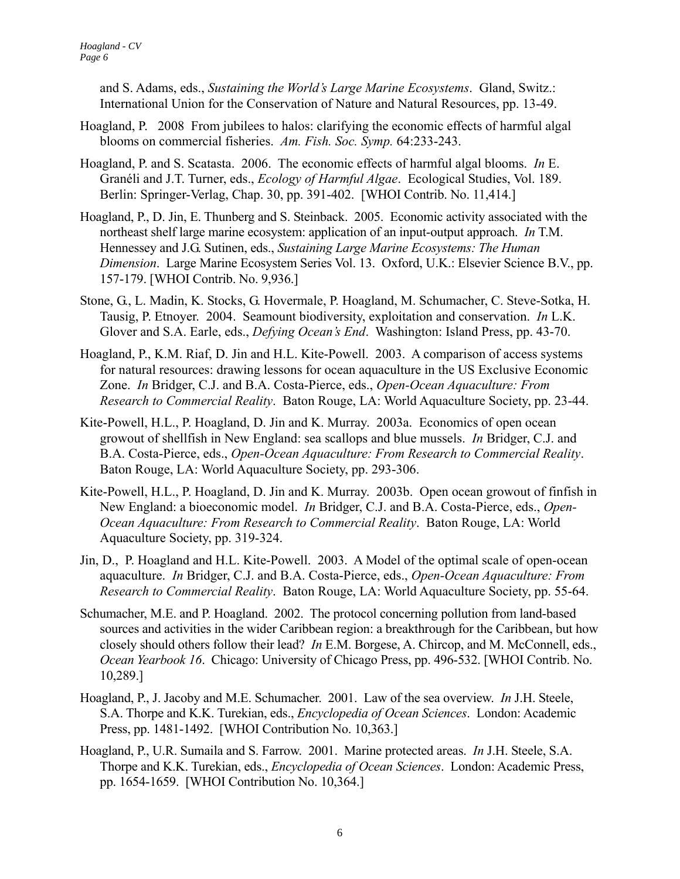and S. Adams, eds., *Sustaining the World's Large Marine Ecosystems*. Gland, Switz.: International Union for the Conservation of Nature and Natural Resources, pp. 13-49.

- Hoagland, P. 2008 From jubilees to halos: clarifying the economic effects of harmful algal blooms on commercial fisheries. *Am. Fish. Soc. Symp.* 64:233-243.
- Hoagland, P. and S. Scatasta. 2006. The economic effects of harmful algal blooms. *In* E. Granéli and J.T. Turner, eds., *Ecology of Harmful Algae*. Ecological Studies, Vol. 189. Berlin: Springer-Verlag, Chap. 30, pp. 391-402. [WHOI Contrib. No. 11,414.]
- Hoagland, P., D. Jin, E. Thunberg and S. Steinback. 2005. Economic activity associated with the northeast shelf large marine ecosystem: application of an input-output approach. *In* T.M. Hennessey and J.G. Sutinen, eds., *Sustaining Large Marine Ecosystems: The Human Dimension*. Large Marine Ecosystem Series Vol. 13. Oxford, U.K.: Elsevier Science B.V., pp. 157-179. [WHOI Contrib. No. 9,936.]
- Stone, G., L. Madin, K. Stocks, G. Hovermale, P. Hoagland, M. Schumacher, C. Steve-Sotka, H. Tausig, P. Etnoyer. 2004. Seamount biodiversity, exploitation and conservation. *In* L.K. Glover and S.A. Earle, eds., *Defying Ocean's End*. Washington: Island Press, pp. 43-70.
- Hoagland, P., K.M. Riaf, D. Jin and H.L. Kite-Powell. 2003. A comparison of access systems for natural resources: drawing lessons for ocean aquaculture in the US Exclusive Economic Zone. *In* Bridger, C.J. and B.A. Costa-Pierce, eds., *Open-Ocean Aquaculture: From Research to Commercial Reality*. Baton Rouge, LA: World Aquaculture Society, pp. 23-44.
- Kite-Powell, H.L., P. Hoagland, D. Jin and K. Murray. 2003a. Economics of open ocean growout of shellfish in New England: sea scallops and blue mussels. *In* Bridger, C.J. and B.A. Costa-Pierce, eds., *Open-Ocean Aquaculture: From Research to Commercial Reality*. Baton Rouge, LA: World Aquaculture Society, pp. 293-306.
- Kite-Powell, H.L., P. Hoagland, D. Jin and K. Murray. 2003b. Open ocean growout of finfish in New England: a bioeconomic model. *In* Bridger, C.J. and B.A. Costa-Pierce, eds., *Open-Ocean Aquaculture: From Research to Commercial Reality*. Baton Rouge, LA: World Aquaculture Society, pp. 319-324.
- Jin, D., P. Hoagland and H.L. Kite-Powell. 2003. A Model of the optimal scale of open-ocean aquaculture. *In* Bridger, C.J. and B.A. Costa-Pierce, eds., *Open-Ocean Aquaculture: From Research to Commercial Reality*. Baton Rouge, LA: World Aquaculture Society, pp. 55-64.
- Schumacher, M.E. and P. Hoagland. 2002. The protocol concerning pollution from land-based sources and activities in the wider Caribbean region: a breakthrough for the Caribbean, but how closely should others follow their lead? *In* E.M. Borgese, A. Chircop, and M. McConnell, eds., *Ocean Yearbook 16*. Chicago: University of Chicago Press, pp. 496-532. [WHOI Contrib. No. 10,289.]
- Hoagland, P., J. Jacoby and M.E. Schumacher. 2001. Law of the sea overview. *In* J.H. Steele, S.A. Thorpe and K.K. Turekian, eds., *Encyclopedia of Ocean Sciences*. London: Academic Press, pp. 1481-1492. [WHOI Contribution No. 10,363.]
- Hoagland, P., U.R. Sumaila and S. Farrow. 2001. Marine protected areas. *In* J.H. Steele, S.A. Thorpe and K.K. Turekian, eds., *Encyclopedia of Ocean Sciences*. London: Academic Press, pp. 1654-1659. [WHOI Contribution No. 10,364.]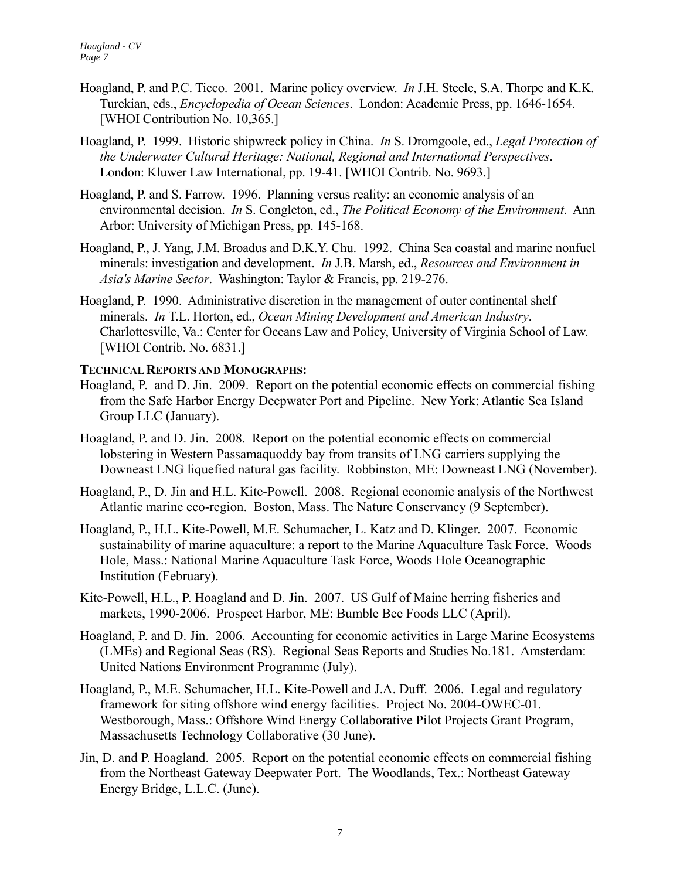- Hoagland, P. and P.C. Ticco. 2001. Marine policy overview. *In* J.H. Steele, S.A. Thorpe and K.K. Turekian, eds., *Encyclopedia of Ocean Sciences*. London: Academic Press, pp. 1646-1654. [WHOI Contribution No. 10,365.]
- Hoagland, P. 1999. Historic shipwreck policy in China. *In* S. Dromgoole, ed., *Legal Protection of the Underwater Cultural Heritage: National, Regional and International Perspectives*. London: Kluwer Law International, pp. 19-41. [WHOI Contrib. No. 9693.]
- Hoagland, P. and S. Farrow. 1996. Planning versus reality: an economic analysis of an environmental decision. *In* S. Congleton, ed., *The Political Economy of the Environment*. Ann Arbor: University of Michigan Press, pp. 145-168.
- Hoagland, P., J. Yang, J.M. Broadus and D.K.Y. Chu. 1992. China Sea coastal and marine nonfuel minerals: investigation and development. *In* J.B. Marsh, ed., *Resources and Environment in Asia's Marine Sector*. Washington: Taylor & Francis, pp. 219-276.
- Hoagland, P. 1990. Administrative discretion in the management of outer continental shelf minerals. *In* T.L. Horton, ed., *Ocean Mining Development and American Industry*. Charlottesville, Va.: Center for Oceans Law and Policy, University of Virginia School of Law. [WHOI Contrib. No. 6831.]

# **TECHNICAL REPORTS AND MONOGRAPHS:**

- Hoagland, P. and D. Jin. 2009. Report on the potential economic effects on commercial fishing from the Safe Harbor Energy Deepwater Port and Pipeline. New York: Atlantic Sea Island Group LLC (January).
- Hoagland, P. and D. Jin. 2008. Report on the potential economic effects on commercial lobstering in Western Passamaquoddy bay from transits of LNG carriers supplying the Downeast LNG liquefied natural gas facility. Robbinston, ME: Downeast LNG (November).
- Hoagland, P., D. Jin and H.L. Kite-Powell. 2008. Regional economic analysis of the Northwest Atlantic marine eco-region. Boston, Mass. The Nature Conservancy (9 September).
- Hoagland, P., H.L. Kite-Powell, M.E. Schumacher, L. Katz and D. Klinger. 2007. Economic sustainability of marine aquaculture: a report to the Marine Aquaculture Task Force. Woods Hole, Mass.: National Marine Aquaculture Task Force, Woods Hole Oceanographic Institution (February).
- Kite-Powell, H.L., P. Hoagland and D. Jin. 2007. US Gulf of Maine herring fisheries and markets, 1990-2006. Prospect Harbor, ME: Bumble Bee Foods LLC (April).
- Hoagland, P. and D. Jin. 2006. Accounting for economic activities in Large Marine Ecosystems (LMEs) and Regional Seas (RS). Regional Seas Reports and Studies No.181. Amsterdam: United Nations Environment Programme (July).
- Hoagland, P., M.E. Schumacher, H.L. Kite-Powell and J.A. Duff. 2006. Legal and regulatory framework for siting offshore wind energy facilities. Project No. 2004-OWEC-01. Westborough, Mass.: Offshore Wind Energy Collaborative Pilot Projects Grant Program, Massachusetts Technology Collaborative (30 June).
- Jin, D. and P. Hoagland. 2005. Report on the potential economic effects on commercial fishing from the Northeast Gateway Deepwater Port. The Woodlands, Tex.: Northeast Gateway Energy Bridge, L.L.C. (June).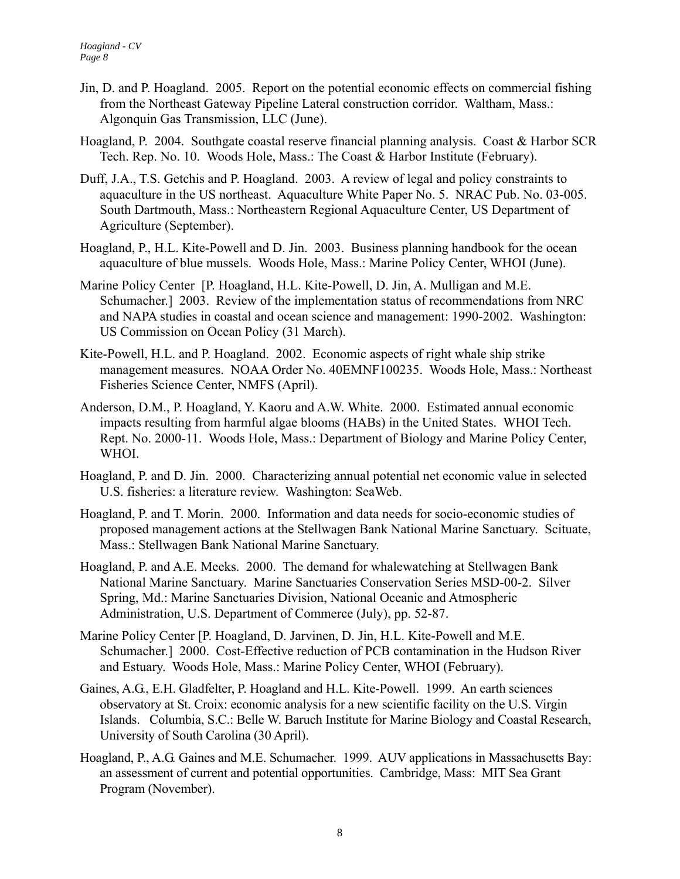- Jin, D. and P. Hoagland. 2005. Report on the potential economic effects on commercial fishing from the Northeast Gateway Pipeline Lateral construction corridor. Waltham, Mass.: Algonquin Gas Transmission, LLC (June).
- Hoagland, P. 2004. Southgate coastal reserve financial planning analysis. Coast & Harbor SCR Tech. Rep. No. 10. Woods Hole, Mass.: The Coast & Harbor Institute (February).
- Duff, J.A., T.S. Getchis and P. Hoagland. 2003. A review of legal and policy constraints to aquaculture in the US northeast. Aquaculture White Paper No. 5. NRAC Pub. No. 03-005. South Dartmouth, Mass.: Northeastern Regional Aquaculture Center, US Department of Agriculture (September).
- Hoagland, P., H.L. Kite-Powell and D. Jin. 2003. Business planning handbook for the ocean aquaculture of blue mussels. Woods Hole, Mass.: Marine Policy Center, WHOI (June).
- Marine Policy Center [P. Hoagland, H.L. Kite-Powell, D. Jin, A. Mulligan and M.E. Schumacher.] 2003. Review of the implementation status of recommendations from NRC and NAPA studies in coastal and ocean science and management: 1990-2002. Washington: US Commission on Ocean Policy (31 March).
- Kite-Powell, H.L. and P. Hoagland. 2002. Economic aspects of right whale ship strike management measures. NOAA Order No. 40EMNF100235. Woods Hole, Mass.: Northeast Fisheries Science Center, NMFS (April).
- Anderson, D.M., P. Hoagland, Y. Kaoru and A.W. White. 2000. Estimated annual economic impacts resulting from harmful algae blooms (HABs) in the United States. WHOI Tech. Rept. No. 2000-11. Woods Hole, Mass.: Department of Biology and Marine Policy Center, WHOI.
- Hoagland, P. and D. Jin. 2000. Characterizing annual potential net economic value in selected U.S. fisheries: a literature review. Washington: SeaWeb.
- Hoagland, P. and T. Morin. 2000. Information and data needs for socio-economic studies of proposed management actions at the Stellwagen Bank National Marine Sanctuary. Scituate, Mass.: Stellwagen Bank National Marine Sanctuary.
- Hoagland, P. and A.E. Meeks. 2000. The demand for whalewatching at Stellwagen Bank National Marine Sanctuary. Marine Sanctuaries Conservation Series MSD-00-2. Silver Spring, Md.: Marine Sanctuaries Division, National Oceanic and Atmospheric Administration, U.S. Department of Commerce (July), pp. 52-87.
- Marine Policy Center [P. Hoagland, D. Jarvinen, D. Jin, H.L. Kite-Powell and M.E. Schumacher.] 2000. Cost-Effective reduction of PCB contamination in the Hudson River and Estuary. Woods Hole, Mass.: Marine Policy Center, WHOI (February).
- Gaines, A.G., E.H. Gladfelter, P. Hoagland and H.L. Kite-Powell. 1999. An earth sciences observatory at St. Croix: economic analysis for a new scientific facility on the U.S. Virgin Islands. Columbia, S.C.: Belle W. Baruch Institute for Marine Biology and Coastal Research, University of South Carolina (30 April).
- Hoagland, P., A.G. Gaines and M.E. Schumacher. 1999. AUV applications in Massachusetts Bay: an assessment of current and potential opportunities. Cambridge, Mass: MIT Sea Grant Program (November).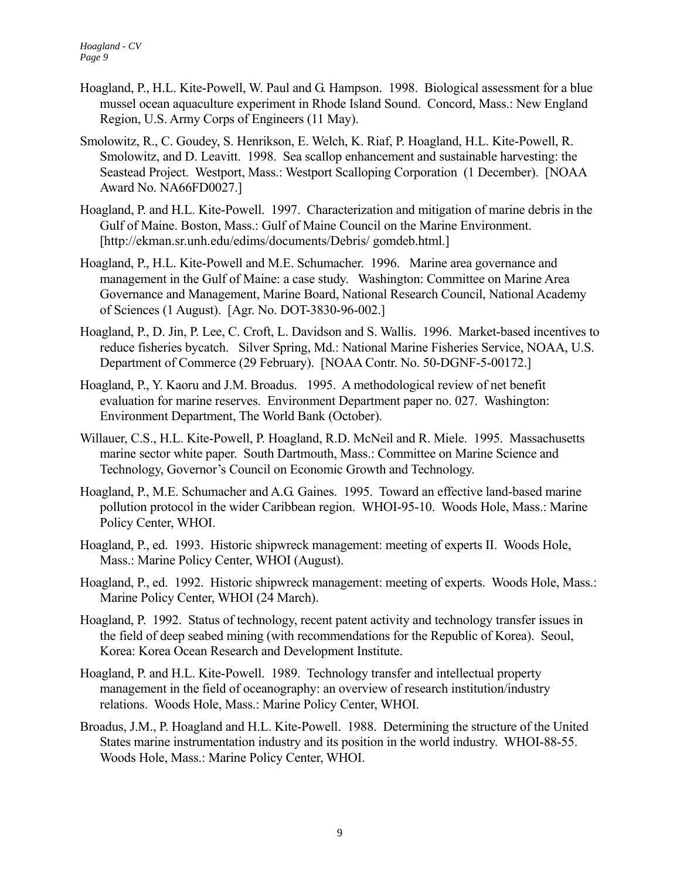- Hoagland, P., H.L. Kite-Powell, W. Paul and G. Hampson. 1998. Biological assessment for a blue mussel ocean aquaculture experiment in Rhode Island Sound. Concord, Mass.: New England Region, U.S. Army Corps of Engineers (11 May).
- Smolowitz, R., C. Goudey, S. Henrikson, E. Welch, K. Riaf, P. Hoagland, H.L. Kite-Powell, R. Smolowitz, and D. Leavitt. 1998. Sea scallop enhancement and sustainable harvesting: the Seastead Project. Westport, Mass.: Westport Scalloping Corporation (1 December). [NOAA Award No. NA66FD0027.]
- Hoagland, P. and H.L. Kite-Powell. 1997. Characterization and mitigation of marine debris in the Gulf of Maine. Boston, Mass.: Gulf of Maine Council on the Marine Environment. [http://ekman.sr.unh.edu/edims/documents/Debris/ gomdeb.html.]
- Hoagland, P., H.L. Kite-Powell and M.E. Schumacher. 1996. Marine area governance and management in the Gulf of Maine: a case study. Washington: Committee on Marine Area Governance and Management, Marine Board, National Research Council, National Academy of Sciences (1 August). [Agr. No. DOT-3830-96-002.]
- Hoagland, P., D. Jin, P. Lee, C. Croft, L. Davidson and S. Wallis. 1996. Market-based incentives to reduce fisheries bycatch. Silver Spring, Md.: National Marine Fisheries Service, NOAA, U.S. Department of Commerce (29 February). [NOAA Contr. No. 50-DGNF-5-00172.]
- Hoagland, P., Y. Kaoru and J.M. Broadus. 1995. A methodological review of net benefit evaluation for marine reserves. Environment Department paper no. 027. Washington: Environment Department, The World Bank (October).
- Willauer, C.S., H.L. Kite-Powell, P. Hoagland, R.D. McNeil and R. Miele. 1995. Massachusetts marine sector white paper. South Dartmouth, Mass.: Committee on Marine Science and Technology, Governor's Council on Economic Growth and Technology.
- Hoagland, P., M.E. Schumacher and A.G. Gaines. 1995. Toward an effective land-based marine pollution protocol in the wider Caribbean region. WHOI-95-10. Woods Hole, Mass.: Marine Policy Center, WHOI.
- Hoagland, P., ed. 1993. Historic shipwreck management: meeting of experts II. Woods Hole, Mass.: Marine Policy Center, WHOI (August).
- Hoagland, P., ed. 1992. Historic shipwreck management: meeting of experts. Woods Hole, Mass.: Marine Policy Center, WHOI (24 March).
- Hoagland, P. 1992. Status of technology, recent patent activity and technology transfer issues in the field of deep seabed mining (with recommendations for the Republic of Korea). Seoul, Korea: Korea Ocean Research and Development Institute.
- Hoagland, P. and H.L. Kite-Powell. 1989. Technology transfer and intellectual property management in the field of oceanography: an overview of research institution/industry relations. Woods Hole, Mass.: Marine Policy Center, WHOI.
- Broadus, J.M., P. Hoagland and H.L. Kite-Powell. 1988. Determining the structure of the United States marine instrumentation industry and its position in the world industry. WHOI-88-55. Woods Hole, Mass.: Marine Policy Center, WHOI.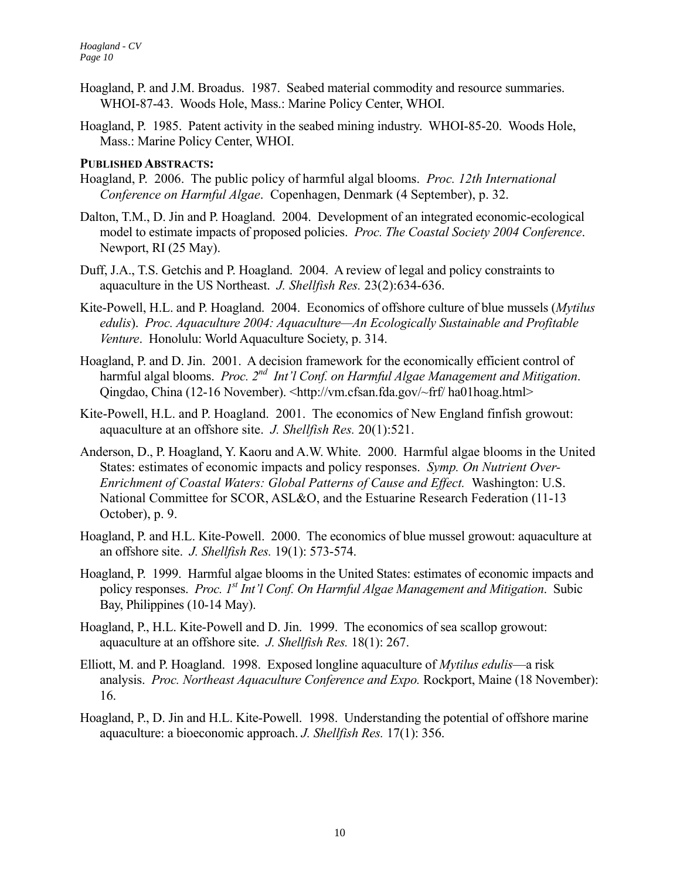- Hoagland, P. and J.M. Broadus. 1987. Seabed material commodity and resource summaries. WHOI-87-43. Woods Hole, Mass.: Marine Policy Center, WHOI.
- Hoagland, P. 1985. Patent activity in the seabed mining industry. WHOI-85-20. Woods Hole, Mass.: Marine Policy Center, WHOI.

### **PUBLISHED ABSTRACTS:**

- Hoagland, P. 2006. The public policy of harmful algal blooms. *Proc. 12th International Conference on Harmful Algae*. Copenhagen, Denmark (4 September), p. 32.
- Dalton, T.M., D. Jin and P. Hoagland. 2004. Development of an integrated economic-ecological model to estimate impacts of proposed policies. *Proc. The Coastal Society 2004 Conference*. Newport, RI (25 May).
- Duff, J.A., T.S. Getchis and P. Hoagland. 2004. A review of legal and policy constraints to aquaculture in the US Northeast. *J. Shellfish Res.* 23(2):634-636.
- Kite-Powell, H.L. and P. Hoagland. 2004. Economics of offshore culture of blue mussels (*Mytilus edulis*). *Proc. Aquaculture 2004: Aquaculture—An Ecologically Sustainable and Profitable Venture*. Honolulu: World Aquaculture Society, p. 314.
- Hoagland, P. and D. Jin. 2001. A decision framework for the economically efficient control of harmful algal blooms. *Proc. 2nd Int'l Conf. on Harmful Algae Management and Mitigation*. Qingdao, China (12-16 November). <http://vm.cfsan.fda.gov/~frf/ ha01hoag.html>
- Kite-Powell, H.L. and P. Hoagland. 2001. The economics of New England finfish growout: aquaculture at an offshore site. *J. Shellfish Res.* 20(1):521.
- Anderson, D., P. Hoagland, Y. Kaoru and A.W. White. 2000. Harmful algae blooms in the United States: estimates of economic impacts and policy responses. *Symp. On Nutrient Over-Enrichment of Coastal Waters: Global Patterns of Cause and Effect.* Washington: U.S. National Committee for SCOR, ASL&O, and the Estuarine Research Federation (11-13 October), p. 9.
- Hoagland, P. and H.L. Kite-Powell. 2000. The economics of blue mussel growout: aquaculture at an offshore site. *J. Shellfish Res.* 19(1): 573-574.
- Hoagland, P. 1999. Harmful algae blooms in the United States: estimates of economic impacts and policy responses. *Proc. 1st Int'l Conf. On Harmful Algae Management and Mitigation*. Subic Bay, Philippines (10-14 May).
- Hoagland, P., H.L. Kite-Powell and D. Jin. 1999. The economics of sea scallop growout: aquaculture at an offshore site. *J. Shellfish Res.* 18(1): 267.
- Elliott, M. and P. Hoagland. 1998. Exposed longline aquaculture of *Mytilus edulis*—a risk analysis. *Proc. Northeast Aquaculture Conference and Expo.* Rockport, Maine (18 November): 16.
- Hoagland, P., D. Jin and H.L. Kite-Powell. 1998. Understanding the potential of offshore marine aquaculture: a bioeconomic approach. *J. Shellfish Res.* 17(1): 356.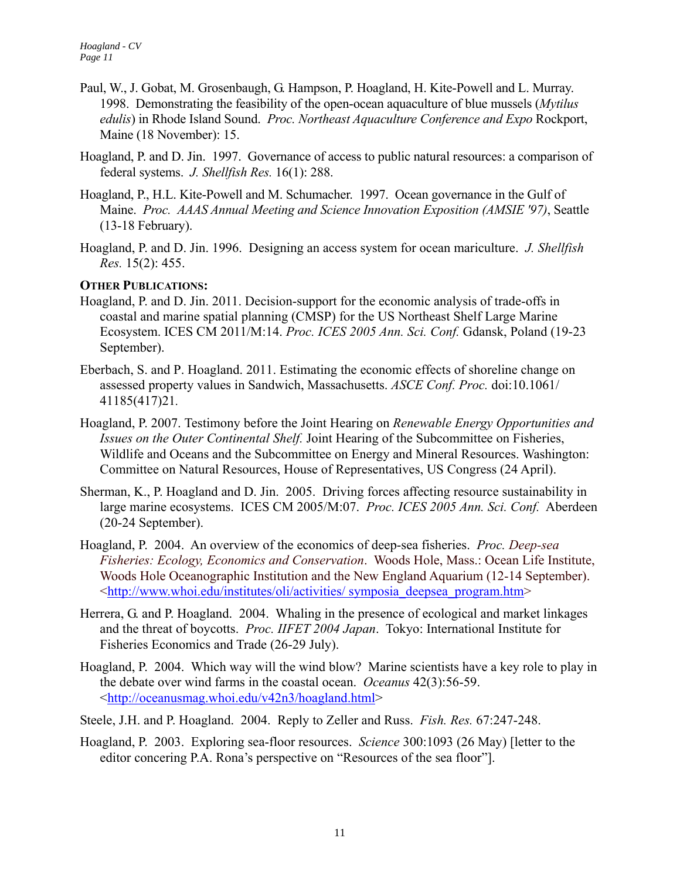*Hoagland - CV Page 11*

- Paul, W., J. Gobat, M. Grosenbaugh, G. Hampson, P. Hoagland, H. Kite-Powell and L. Murray. 1998. Demonstrating the feasibility of the open-ocean aquaculture of blue mussels (*Mytilus edulis*) in Rhode Island Sound. *Proc. Northeast Aquaculture Conference and Expo* Rockport, Maine (18 November): 15.
- Hoagland, P. and D. Jin. 1997. Governance of access to public natural resources: a comparison of federal systems. *J. Shellfish Res.* 16(1): 288.
- Hoagland, P., H.L. Kite-Powell and M. Schumacher. 1997. Ocean governance in the Gulf of Maine. *Proc. AAAS Annual Meeting and Science Innovation Exposition (AMSIE '97)*, Seattle (13-18 February).
- Hoagland, P. and D. Jin. 1996. Designing an access system for ocean mariculture. *J. Shellfish Res.* 15(2): 455.

### **OTHER PUBLICATIONS:**

- Hoagland, P. and D. Jin. 2011. Decision-support for the economic analysis of trade-offs in coastal and marine spatial planning (CMSP) for the US Northeast Shelf Large Marine Ecosystem. ICES CM 2011/M:14. *Proc. ICES 2005 Ann. Sci. Conf.* Gdansk, Poland (19-23 September).
- Eberbach, S. and P. Hoagland. 2011. Estimating the economic effects of shoreline change on assessed property values in Sandwich, Massachusetts. *ASCE Conf. Proc.* doi:10.1061/ 41185(417)21*.*
- Hoagland, P. 2007. Testimony before the Joint Hearing on *Renewable Energy Opportunities and Issues on the Outer Continental Shelf.* Joint Hearing of the Subcommittee on Fisheries, Wildlife and Oceans and the Subcommittee on Energy and Mineral Resources. Washington: Committee on Natural Resources, House of Representatives, US Congress (24 April).
- Sherman, K., P. Hoagland and D. Jin. 2005. Driving forces affecting resource sustainability in large marine ecosystems. ICES CM 2005/M:07. *Proc. ICES 2005 Ann. Sci. Conf.* Aberdeen (20-24 September).
- Hoagland, P. 2004. An overview of the economics of deep-sea fisheries. *Proc. Deep-sea Fisheries: Ecology, Economics and Conservation*. Woods Hole, Mass.: Ocean Life Institute, Woods Hole Oceanographic Institution and the New England Aquarium (12-14 September). <http://www.whoi.edu/institutes/oli/activities/ symposia\_deepsea\_program.htm>
- Herrera, G. and P. Hoagland. 2004. Whaling in the presence of ecological and market linkages and the threat of boycotts. *Proc. IIFET 2004 Japan*. Tokyo: International Institute for Fisheries Economics and Trade (26-29 July).
- Hoagland, P. 2004. Which way will the wind blow? Marine scientists have a key role to play in the debate over wind farms in the coastal ocean. *Oceanus* 42(3):56-59. <http://oceanusmag.whoi.edu/v42n3/hoagland.html>
- Steele, J.H. and P. Hoagland. 2004. Reply to Zeller and Russ. *Fish. Res.* 67:247-248.
- Hoagland, P. 2003. Exploring sea-floor resources. *Science* 300:1093 (26 May) [letter to the editor concering P.A. Rona's perspective on "Resources of the sea floor"].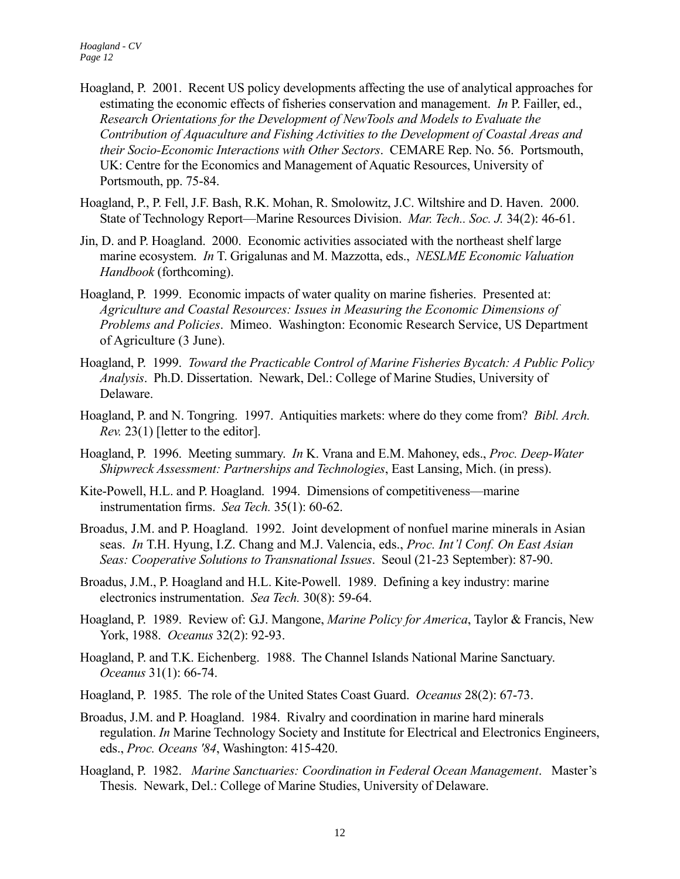- Hoagland, P. 2001. Recent US policy developments affecting the use of analytical approaches for estimating the economic effects of fisheries conservation and management. *In* P. Failler, ed., *Research Orientations for the Development of NewTools and Models to Evaluate the Contribution of Aquaculture and Fishing Activities to the Development of Coastal Areas and their Socio-Economic Interactions with Other Sectors*. CEMARE Rep. No. 56. Portsmouth, UK: Centre for the Economics and Management of Aquatic Resources, University of Portsmouth, pp. 75-84.
- Hoagland, P., P. Fell, J.F. Bash, R.K. Mohan, R. Smolowitz, J.C. Wiltshire and D. Haven. 2000. State of Technology Report—Marine Resources Division. *Mar. Tech.. Soc. J.* 34(2): 46-61.
- Jin, D. and P. Hoagland. 2000. Economic activities associated with the northeast shelf large marine ecosystem. *In* T. Grigalunas and M. Mazzotta, eds., *NESLME Economic Valuation Handbook* (forthcoming).
- Hoagland, P. 1999. Economic impacts of water quality on marine fisheries. Presented at: *Agriculture and Coastal Resources: Issues in Measuring the Economic Dimensions of Problems and Policies*. Mimeo. Washington: Economic Research Service, US Department of Agriculture (3 June).
- Hoagland, P. 1999. *Toward the Practicable Control of Marine Fisheries Bycatch: A Public Policy Analysis*. Ph.D. Dissertation. Newark, Del.: College of Marine Studies, University of Delaware.
- Hoagland, P. and N. Tongring. 1997. Antiquities markets: where do they come from? *Bibl. Arch. Rev.* 23(1) [letter to the editor].
- Hoagland, P. 1996. Meeting summary. *In* K. Vrana and E.M. Mahoney, eds., *Proc. Deep-Water Shipwreck Assessment: Partnerships and Technologies*, East Lansing, Mich. (in press).
- Kite-Powell, H.L. and P. Hoagland. 1994. Dimensions of competitiveness—marine instrumentation firms. *Sea Tech.* 35(1): 60-62.
- Broadus, J.M. and P. Hoagland. 1992. Joint development of nonfuel marine minerals in Asian seas. *In* T.H. Hyung, I.Z. Chang and M.J. Valencia, eds., *Proc. Int'l Conf. On East Asian Seas: Cooperative Solutions to Transnational Issues*. Seoul (21-23 September): 87-90.
- Broadus, J.M., P. Hoagland and H.L. Kite-Powell. 1989. Defining a key industry: marine electronics instrumentation. *Sea Tech.* 30(8): 59-64.
- Hoagland, P. 1989. Review of: G.J. Mangone, *Marine Policy for America*, Taylor & Francis, New York, 1988. *Oceanus* 32(2): 92-93.
- Hoagland, P. and T.K. Eichenberg. 1988. The Channel Islands National Marine Sanctuary. *Oceanus* 31(1): 66-74.
- Hoagland, P. 1985. The role of the United States Coast Guard. *Oceanus* 28(2): 67-73.
- Broadus, J.M. and P. Hoagland. 1984. Rivalry and coordination in marine hard minerals regulation. *In* Marine Technology Society and Institute for Electrical and Electronics Engineers, eds., *Proc. Oceans '84*, Washington: 415-420.
- Hoagland, P. 1982. *Marine Sanctuaries: Coordination in Federal Ocean Management*. Master's Thesis. Newark, Del.: College of Marine Studies, University of Delaware.